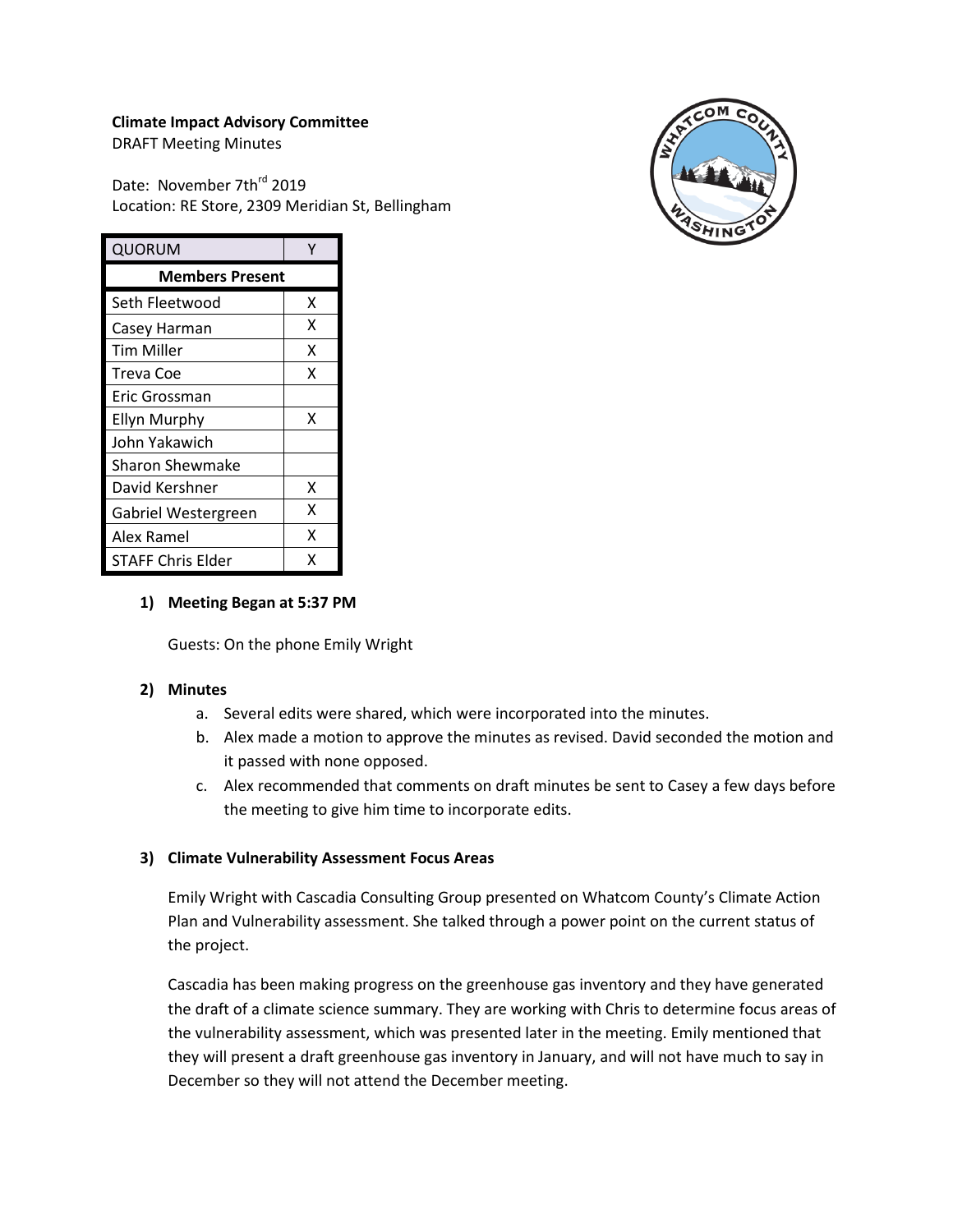## **Climate Impact Advisory Committee**

DRAFT Meeting Minutes

Date: November 7th<sup>rd</sup> 2019 Location: RE Store, 2309 Meridian St, Bellingham



| QUORUM                 |   |  |
|------------------------|---|--|
| <b>Members Present</b> |   |  |
| Seth Fleetwood         | x |  |
| Casey Harman           | x |  |
| Tim Miller             | x |  |
| Treva Coe              | x |  |
| Eric Grossman          |   |  |
| <b>Ellyn Murphy</b>    | x |  |
| John Yakawich          |   |  |
| Sharon Shewmake        |   |  |
| David Kershner         | x |  |
| Gabriel Westergreen    | x |  |
| Alex Ramel             | x |  |
| STAFF Chris Elder      | x |  |

### **1) Meeting Began at 5:37 PM**

Guests: On the phone Emily Wright

# **2) Minutes**

- a. Several edits were shared, which were incorporated into the minutes.
- b. Alex made a motion to approve the minutes as revised. David seconded the motion and it passed with none opposed.
- c. Alex recommended that comments on draft minutes be sent to Casey a few days before the meeting to give him time to incorporate edits.

# **3) Climate Vulnerability Assessment Focus Areas**

Emily Wright with Cascadia Consulting Group presented on Whatcom County's Climate Action Plan and Vulnerability assessment. She talked through a power point on the current status of the project.

Cascadia has been making progress on the greenhouse gas inventory and they have generated the draft of a climate science summary. They are working with Chris to determine focus areas of the vulnerability assessment, which was presented later in the meeting. Emily mentioned that they will present a draft greenhouse gas inventory in January, and will not have much to say in December so they will not attend the December meeting.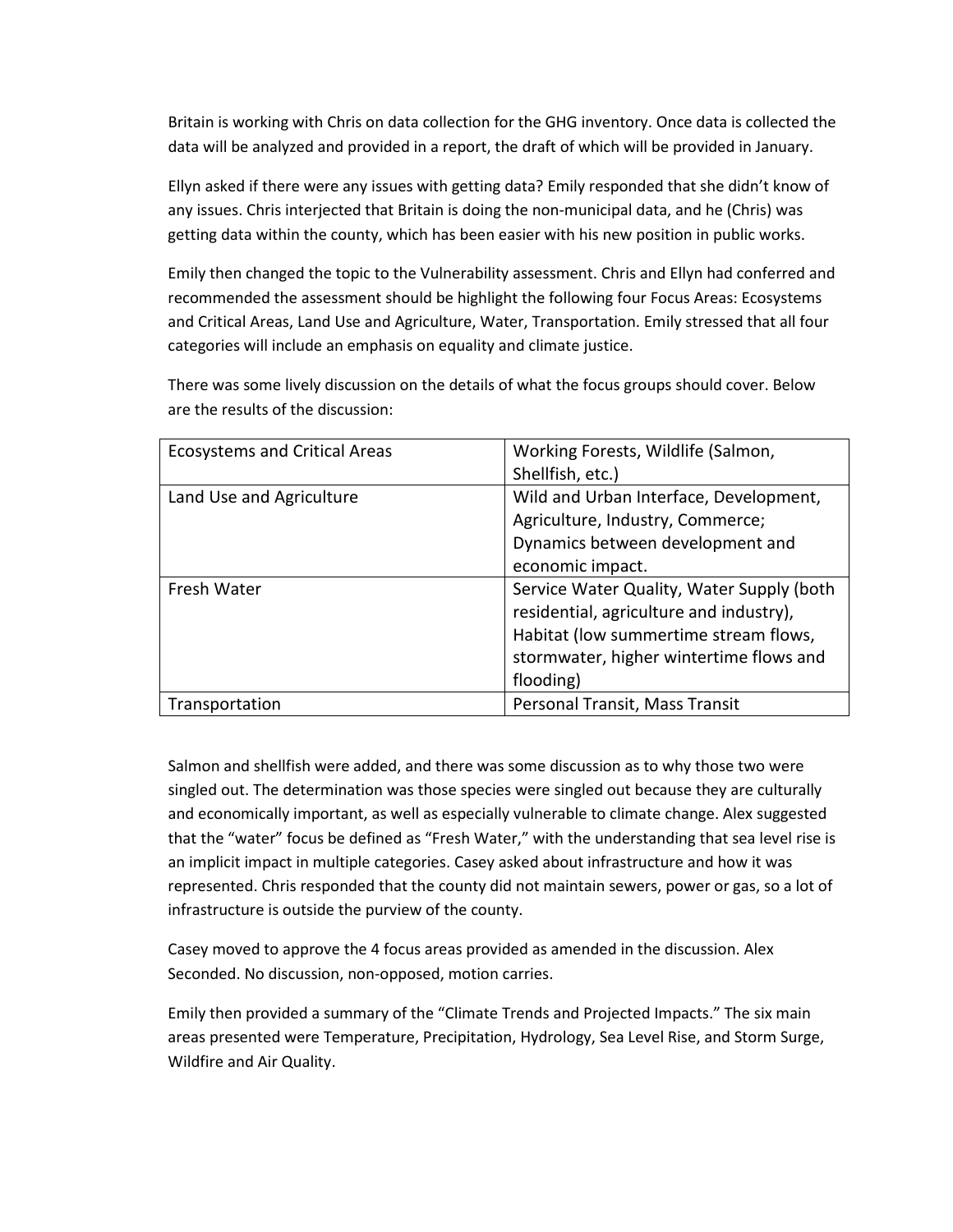Britain is working with Chris on data collection for the GHG inventory. Once data is collected the data will be analyzed and provided in a report, the draft of which will be provided in January.

Ellyn asked if there were any issues with getting data? Emily responded that she didn't know of any issues. Chris interjected that Britain is doing the non-municipal data, and he (Chris) was getting data within the county, which has been easier with his new position in public works.

Emily then changed the topic to the Vulnerability assessment. Chris and Ellyn had conferred and recommended the assessment should be highlight the following four Focus Areas: Ecosystems and Critical Areas, Land Use and Agriculture, Water, Transportation. Emily stressed that all four categories will include an emphasis on equality and climate justice.

There was some lively discussion on the details of what the focus groups should cover. Below are the results of the discussion:

| <b>Ecosystems and Critical Areas</b> | Working Forests, Wildlife (Salmon,        |  |
|--------------------------------------|-------------------------------------------|--|
|                                      | Shellfish, etc.)                          |  |
| Land Use and Agriculture             | Wild and Urban Interface, Development,    |  |
|                                      | Agriculture, Industry, Commerce;          |  |
|                                      | Dynamics between development and          |  |
|                                      | economic impact.                          |  |
| Fresh Water                          | Service Water Quality, Water Supply (both |  |
|                                      | residential, agriculture and industry),   |  |
|                                      | Habitat (low summertime stream flows,     |  |
|                                      | stormwater, higher wintertime flows and   |  |
|                                      | flooding)                                 |  |
| Transportation                       | Personal Transit, Mass Transit            |  |

Salmon and shellfish were added, and there was some discussion as to why those two were singled out. The determination was those species were singled out because they are culturally and economically important, as well as especially vulnerable to climate change. Alex suggested that the "water" focus be defined as "Fresh Water," with the understanding that sea level rise is an implicit impact in multiple categories. Casey asked about infrastructure and how it was represented. Chris responded that the county did not maintain sewers, power or gas, so a lot of infrastructure is outside the purview of the county.

Casey moved to approve the 4 focus areas provided as amended in the discussion. Alex Seconded. No discussion, non-opposed, motion carries.

Emily then provided a summary of the "Climate Trends and Projected Impacts." The six main areas presented were Temperature, Precipitation, Hydrology, Sea Level Rise, and Storm Surge, Wildfire and Air Quality.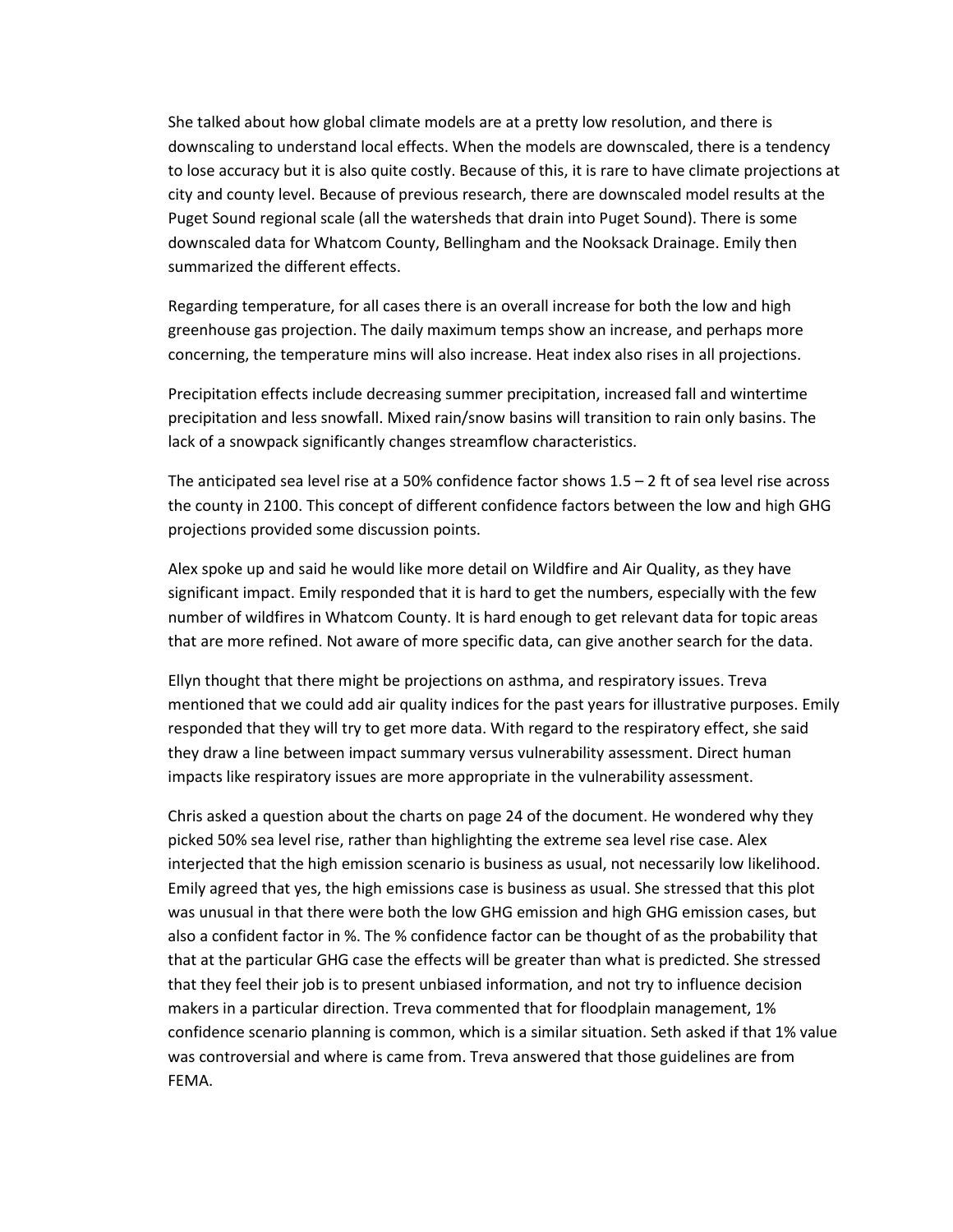She talked about how global climate models are at a pretty low resolution, and there is downscaling to understand local effects. When the models are downscaled, there is a tendency to lose accuracy but it is also quite costly. Because of this, it is rare to have climate projections at city and county level. Because of previous research, there are downscaled model results at the Puget Sound regional scale (all the watersheds that drain into Puget Sound). There is some downscaled data for Whatcom County, Bellingham and the Nooksack Drainage. Emily then summarized the different effects.

Regarding temperature, for all cases there is an overall increase for both the low and high greenhouse gas projection. The daily maximum temps show an increase, and perhaps more concerning, the temperature mins will also increase. Heat index also rises in all projections.

Precipitation effects include decreasing summer precipitation, increased fall and wintertime precipitation and less snowfall. Mixed rain/snow basins will transition to rain only basins. The lack of a snowpack significantly changes streamflow characteristics.

The anticipated sea level rise at a 50% confidence factor shows  $1.5 - 2$  ft of sea level rise across the county in 2100. This concept of different confidence factors between the low and high GHG projections provided some discussion points.

Alex spoke up and said he would like more detail on Wildfire and Air Quality, as they have significant impact. Emily responded that it is hard to get the numbers, especially with the few number of wildfires in Whatcom County. It is hard enough to get relevant data for topic areas that are more refined. Not aware of more specific data, can give another search for the data.

Ellyn thought that there might be projections on asthma, and respiratory issues. Treva mentioned that we could add air quality indices for the past years for illustrative purposes. Emily responded that they will try to get more data. With regard to the respiratory effect, she said they draw a line between impact summary versus vulnerability assessment. Direct human impacts like respiratory issues are more appropriate in the vulnerability assessment.

Chris asked a question about the charts on page 24 of the document. He wondered why they picked 50% sea level rise, rather than highlighting the extreme sea level rise case. Alex interjected that the high emission scenario is business as usual, not necessarily low likelihood. Emily agreed that yes, the high emissions case is business as usual. She stressed that this plot was unusual in that there were both the low GHG emission and high GHG emission cases, but also a confident factor in %. The % confidence factor can be thought of as the probability that that at the particular GHG case the effects will be greater than what is predicted. She stressed that they feel their job is to present unbiased information, and not try to influence decision makers in a particular direction. Treva commented that for floodplain management, 1% confidence scenario planning is common, which is a similar situation. Seth asked if that 1% value was controversial and where is came from. Treva answered that those guidelines are from FEMA.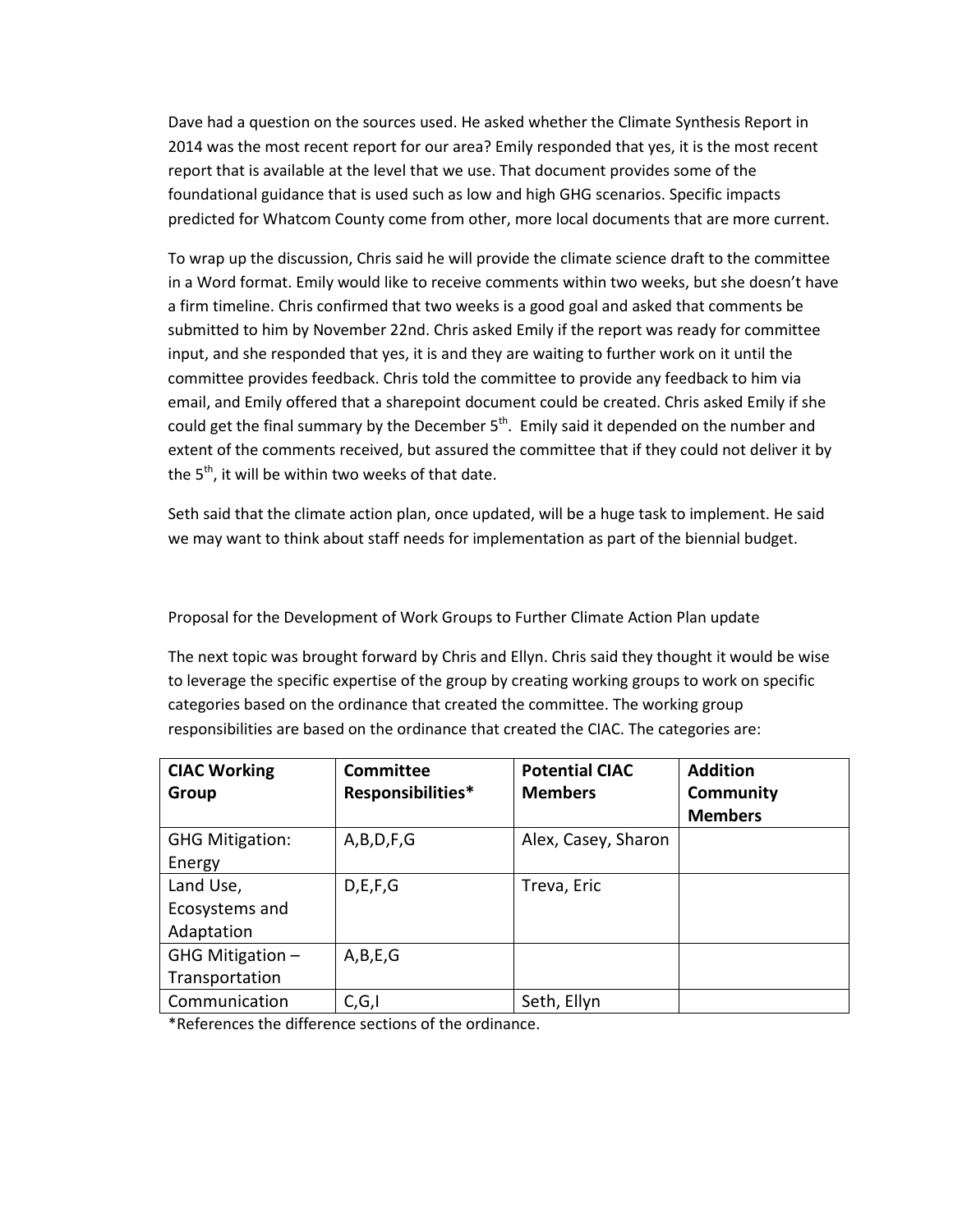Dave had a question on the sources used. He asked whether the Climate Synthesis Report in 2014 was the most recent report for our area? Emily responded that yes, it is the most recent report that is available at the level that we use. That document provides some of the foundational guidance that is used such as low and high GHG scenarios. Specific impacts predicted for Whatcom County come from other, more local documents that are more current.

To wrap up the discussion, Chris said he will provide the climate science draft to the committee in a Word format. Emily would like to receive comments within two weeks, but she doesn't have a firm timeline. Chris confirmed that two weeks is a good goal and asked that comments be submitted to him by November 22nd. Chris asked Emily if the report was ready for committee input, and she responded that yes, it is and they are waiting to further work on it until the committee provides feedback. Chris told the committee to provide any feedback to him via email, and Emily offered that a sharepoint document could be created. Chris asked Emily if she could get the final summary by the December  $5<sup>th</sup>$ . Emily said it depended on the number and extent of the comments received, but assured the committee that if they could not deliver it by the  $5<sup>th</sup>$ , it will be within two weeks of that date.

Seth said that the climate action plan, once updated, will be a huge task to implement. He said we may want to think about staff needs for implementation as part of the biennial budget.

Proposal for the Development of Work Groups to Further Climate Action Plan update

The next topic was brought forward by Chris and Ellyn. Chris said they thought it would be wise to leverage the specific expertise of the group by creating working groups to work on specific categories based on the ordinance that created the committee. The working group responsibilities are based on the ordinance that created the CIAC. The categories are:

| <b>CIAC Working</b>    | <b>Committee</b>  | <b>Potential CIAC</b> | <b>Addition</b>  |
|------------------------|-------------------|-----------------------|------------------|
| Group                  | Responsibilities* | <b>Members</b>        | <b>Community</b> |
|                        |                   |                       | <b>Members</b>   |
| <b>GHG Mitigation:</b> | A,B,D,F,G         | Alex, Casey, Sharon   |                  |
| Energy                 |                   |                       |                  |
| Land Use,              | D, E, F, G        | Treva, Eric           |                  |
| Ecosystems and         |                   |                       |                  |
| Adaptation             |                   |                       |                  |
| GHG Mitigation -       | A,B,E,G           |                       |                  |
| Transportation         |                   |                       |                  |
| Communication          | C, G, I           | Seth, Ellyn           |                  |

\*References the difference sections of the ordinance.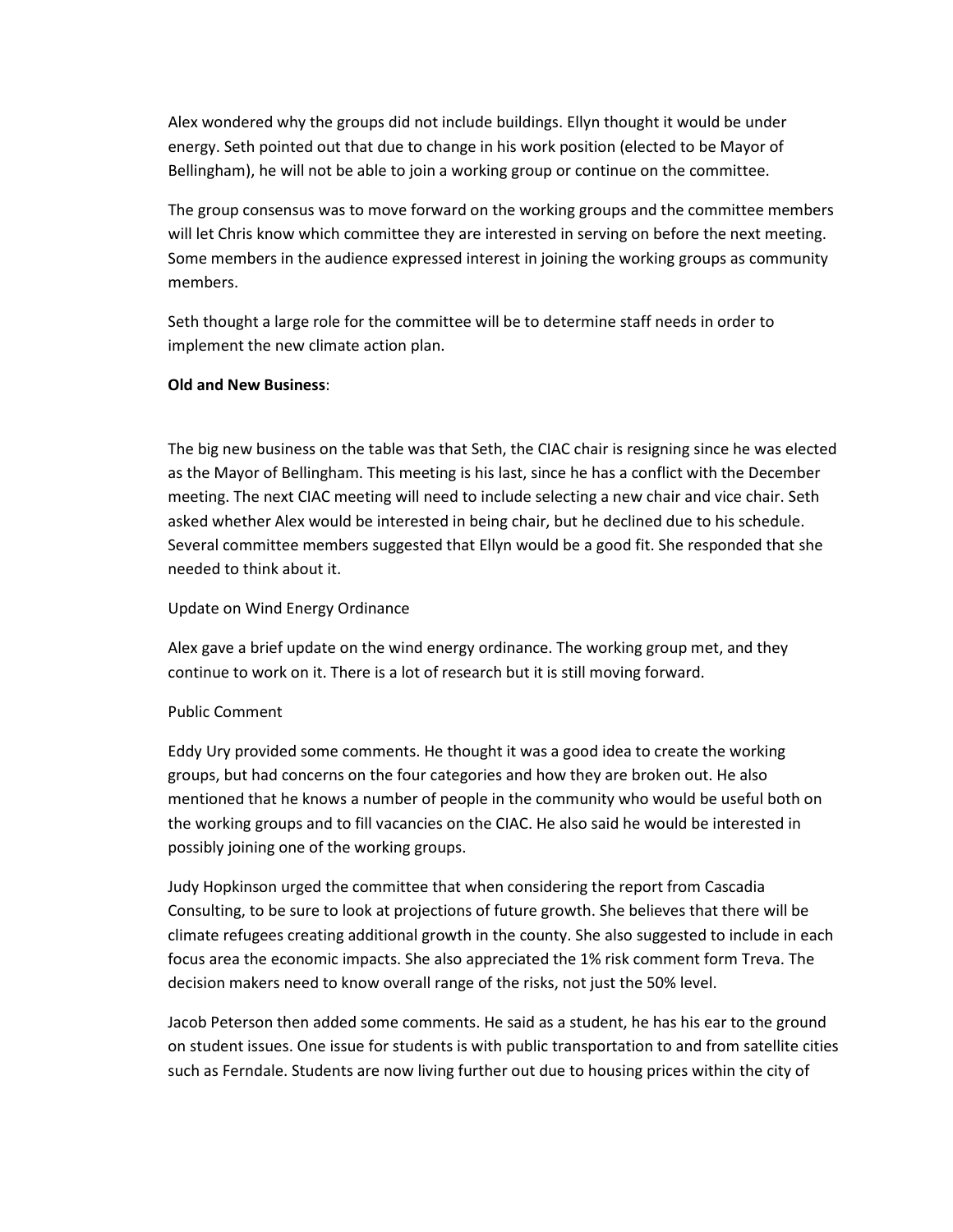Alex wondered why the groups did not include buildings. Ellyn thought it would be under energy. Seth pointed out that due to change in his work position (elected to be Mayor of Bellingham), he will not be able to join a working group or continue on the committee.

The group consensus was to move forward on the working groups and the committee members will let Chris know which committee they are interested in serving on before the next meeting. Some members in the audience expressed interest in joining the working groups as community members.

Seth thought a large role for the committee will be to determine staff needs in order to implement the new climate action plan.

### **Old and New Business**:

The big new business on the table was that Seth, the CIAC chair is resigning since he was elected as the Mayor of Bellingham. This meeting is his last, since he has a conflict with the December meeting. The next CIAC meeting will need to include selecting a new chair and vice chair. Seth asked whether Alex would be interested in being chair, but he declined due to his schedule. Several committee members suggested that Ellyn would be a good fit. She responded that she needed to think about it.

# Update on Wind Energy Ordinance

Alex gave a brief update on the wind energy ordinance. The working group met, and they continue to work on it. There is a lot of research but it is still moving forward.

# Public Comment

Eddy Ury provided some comments. He thought it was a good idea to create the working groups, but had concerns on the four categories and how they are broken out. He also mentioned that he knows a number of people in the community who would be useful both on the working groups and to fill vacancies on the CIAC. He also said he would be interested in possibly joining one of the working groups.

Judy Hopkinson urged the committee that when considering the report from Cascadia Consulting, to be sure to look at projections of future growth. She believes that there will be climate refugees creating additional growth in the county. She also suggested to include in each focus area the economic impacts. She also appreciated the 1% risk comment form Treva. The decision makers need to know overall range of the risks, not just the 50% level.

Jacob Peterson then added some comments. He said as a student, he has his ear to the ground on student issues. One issue for students is with public transportation to and from satellite cities such as Ferndale. Students are now living further out due to housing prices within the city of